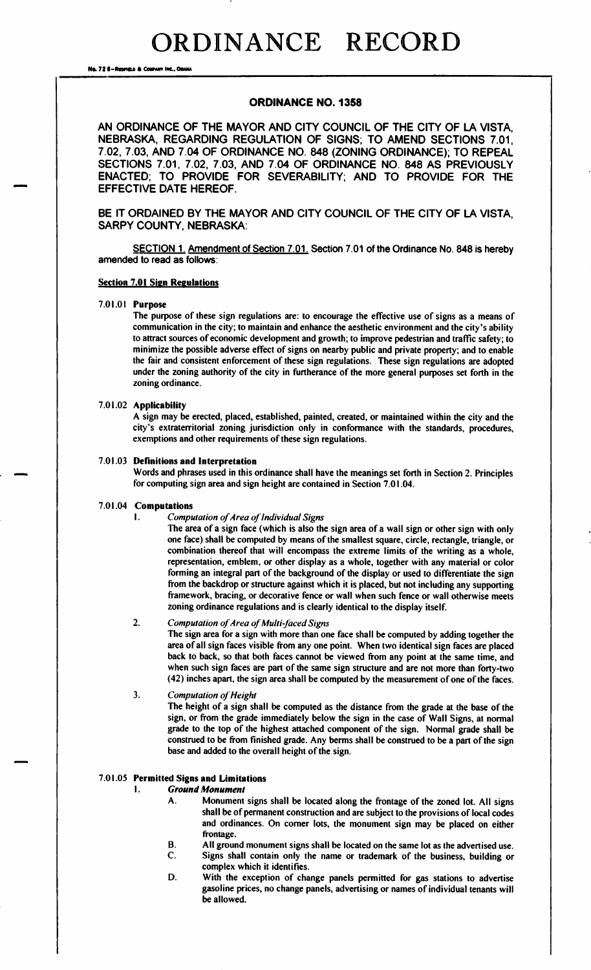Na. 72 8-Rennau & Cour

# ORDINANCE NO. 1358

AN ORDINANCE OF THE MAYOR AND CITY COUNCIL OF THE CITY OF LA VISTA, NEBRASKA, REGARDING REGULATION OF SIGNS; TO AMEND SECTIONS 7. 01, 7. 02, 7. 03, AND 7. 04 OF ORDINANCE NO. 848 ( ZONING ORDINANCE); TO REPEAL SECTIONS 7.01, 7.02, 7.03, AND 7. 04 OF ORDINANCE NO. 848 AS PREVIOUSLY ENACTED; TO PROVIDE FOR SEVERABILITY; AND TO PROVIDE FOR THE EFFECTIVE DATE HEREOF.

BE IT ORDAINED BY THE MAYOR AND CITY COUNCIL OF THE CITY OF LA VISTA, SARPY COUNTY, NEBRASKA:

SECTION 1. Amendment of Section 7.01. Section 7.01 of the Ordinance No. 848 is hereby amended to read as follows:

# **Section 7.01 Sign Regulations**

#### 7. 01. 01 Purpose

The purpose of these sign regulations are: to encourage the effective use of signs as <sup>a</sup> means of communication in the city; to maintain and enhance the aesthetic environment and the city's ability to attract sources of economic development and growth; to improve pedestrian and traffic safety; to minimize the possible adverse effect of signs on nearby public and private property; and to enable the fair and consistent enforcement of these sign regulations. These sign regulations are adopted under the zoning authority of the city in furtherance of the more general purposes set forth in the zoning ordinance.

#### 7. 01. 02 Applicability

A sign may be erected, placed, established, painted, created, or maintained within the city and the city's extraterritorial zoning jurisdiction only in conformance with the standards, procedures, exemptions and other requirements of these sign regulations.

#### 7. 01. 03 Definitions and Interpretation

Words and phrases used in this ordinance shall have the meanings set forth in Section 2. Principles for computing sign area and sign height are contained in Section 7. 01. 04.

## 7. 01. 04 Computations

#### **I.** Computation of Area of Individual Signs

The area of a sign face (which is also the sign area of a wall sign or other sign with only one face) shall be computed by means of the smallest square, circle, rectangle, triangle, or combination thereof that will encompass the extreme limits of the writing as a whole, representation, emblem, or other display as a whole, together with any material or color forming an integral part of the background of the display or used to differentiate the sign from the backdrop or structure against which it is placed, but not including any supporting framework, bracing, or decorative fence or wall when such fence or wall otherwise meets zoning ordinance regulations and is clearly identical to the display itself.

# 2. Computation of Area of Multi-faced Signs

The sign area for a sign with more than one face shall be computed by adding together the area of all sign faces visible from any one point. When two identical sign faces are placed back to back, so that both faces cannot be viewed from any point at the same time, and when such sign faces are part of the same sign structure and are not more than forty-two 42) inches apart, the sign area shall be computed by the measurement of one of the faces.

## 3. Computation of Height

The height of a sign shall be computed as the distance from the grade at the base of the sign, or from the grade immediately below the sign in the case of Wall Signs, at normal grade to the top of the highest attached component of the sign. Normal grade shall be construed to be from finished grade. Any berms shall be construed to be a part of the sign base and added to the overall height of the sign.

# 7. 01. 05 Permitted Signs and Limitations

dari participation and content district of the content district of the content district of the content district of the content district of the content district of the content district of the content district of the content

#### I. Ground Monument

- A. Monument signs shall be located along the frontage of the zoned lot. All signs shall be of permanent construction and are subject to the provisions of local codes and ordinances. On corner lots, the monument sign may be placed on either frontage.
- B. All ground monument signs shall be located on the same lot as the advertised use.<br>C. Signs shall contain only the name or trademark of the business, building or Signs shall contain only the name or trademark of the business, building or
- complex which it identifies. D. With the exception of change panels permitted for gas stations to advertise
- gasoline prices, no change panels, advertising or names of individual tenants will be allowed.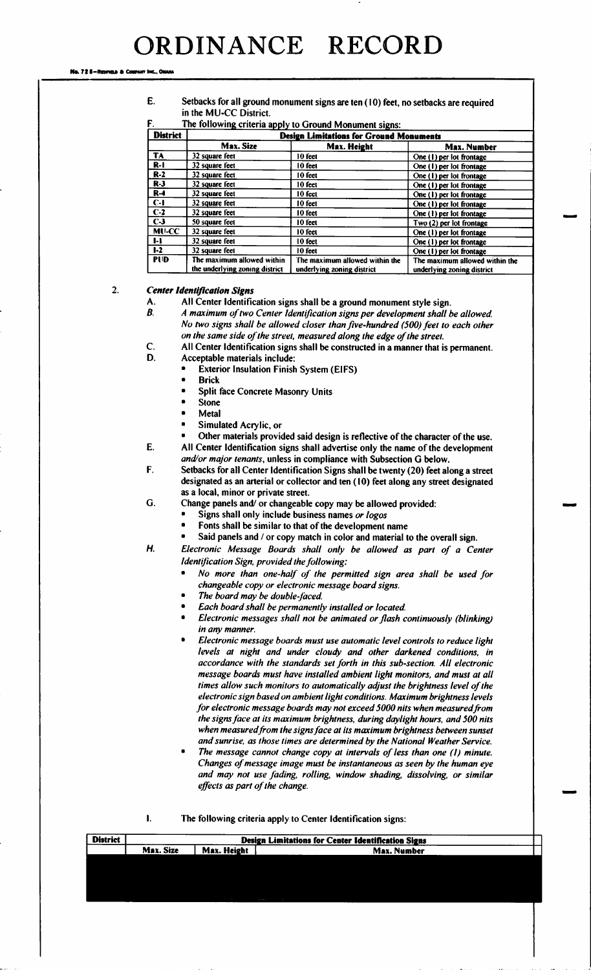Ne. 72 8-Reories & Co.

E. Setbacks for all ground monument signs are ten( 10) feet, no setbacks are required in the MU-CC District.

| <b>District</b> | <b>Design Limitations for Ground Monuments</b><br>Max. Size<br>Max. Height<br><b>Max. Number</b><br>32 square feet<br>10 feet<br>One (1) per lot frontage<br>32 square feet<br>10 feet<br>One (1) per lot frontage<br>32 square feet<br>10 feet<br>One (1) per lot frontage<br>32 square feet<br>10 feet<br>One (1) per lot frontage<br>32 square feet<br>10 feet<br>One (1) per lot frontage<br>32 square feet<br>10 feet<br>One (1) per lot frontage<br>32 square feet<br>10 feet<br>One (1) per lot frontage<br>50 square feet<br>10 feet<br>Two (2) per lot frontage |                                                              |                                                              |
|-----------------|--------------------------------------------------------------------------------------------------------------------------------------------------------------------------------------------------------------------------------------------------------------------------------------------------------------------------------------------------------------------------------------------------------------------------------------------------------------------------------------------------------------------------------------------------------------------------|--------------------------------------------------------------|--------------------------------------------------------------|
|                 |                                                                                                                                                                                                                                                                                                                                                                                                                                                                                                                                                                          |                                                              |                                                              |
| <b>TA</b>       |                                                                                                                                                                                                                                                                                                                                                                                                                                                                                                                                                                          |                                                              |                                                              |
| $R-1$           |                                                                                                                                                                                                                                                                                                                                                                                                                                                                                                                                                                          |                                                              |                                                              |
| $R-2$           |                                                                                                                                                                                                                                                                                                                                                                                                                                                                                                                                                                          |                                                              |                                                              |
| $R-3$           |                                                                                                                                                                                                                                                                                                                                                                                                                                                                                                                                                                          |                                                              |                                                              |
| $R-4$           |                                                                                                                                                                                                                                                                                                                                                                                                                                                                                                                                                                          |                                                              |                                                              |
| $C-I$           |                                                                                                                                                                                                                                                                                                                                                                                                                                                                                                                                                                          |                                                              |                                                              |
| $C-2$           |                                                                                                                                                                                                                                                                                                                                                                                                                                                                                                                                                                          |                                                              |                                                              |
| $C-3$           |                                                                                                                                                                                                                                                                                                                                                                                                                                                                                                                                                                          |                                                              |                                                              |
| <b>MU-CC</b>    | 32 square feet                                                                                                                                                                                                                                                                                                                                                                                                                                                                                                                                                           | 10 feet                                                      | One (1) per lot frontage                                     |
| 1-l             | 32 square feet                                                                                                                                                                                                                                                                                                                                                                                                                                                                                                                                                           | 10 feet                                                      | One (1) per lot frontage                                     |
| $1-2$           | 32 square feet                                                                                                                                                                                                                                                                                                                                                                                                                                                                                                                                                           | 10 feet                                                      | One (1) per lot frontage                                     |
| <b>PUD</b>      | The maximum allowed within<br>the underlying zoning district                                                                                                                                                                                                                                                                                                                                                                                                                                                                                                             | The maximum allowed within the<br>underlying zoning district | The maximum allowed within the<br>underlying zoning district |

2. Center Identification Signs

- A. All Center Identification signs shall be a ground monument style sign.<br>B. A maximum of two Center Identification signs per development shall b
	- A maximum of two Center Identification signs per development shall be allowed. No two signs shall be allowed closer than five-hundred (500) feet to each other on the same side of the street, measured along the edge of the street.
- C. All Center Identification signs shall be constructed in a manner that is permanent.<br>D. Accentable materials include:
- Acceptable materials include:
	- Exterior Insulation Finish System( EIFS)
	- Brick
	- Split face Concrete Masonry Units
	- Stone
	- Metal
	- Simulated Acrylic, or
- Other materials provided said design is reflective of the character of the use.<br>E. All Center Identification signs shall advertise only the name of the development Metal<br>Simulated Acrylic, or<br>Other materials provided said design is reflect<br>Center Identification signs shall advartise only and/or major tenants, unless in compliance with Subsection G below.
- F. Setbacks for all Center Identification Signs shall be twenty( 20) feet along <sup>a</sup> street designated as an arterial or collector and ten (10) feet along any street designated as a local, minor or private street.
- G. Change panels and/ or changeable copy may be allowed provided:
	- Signs shall only include business names or logos
	- Fonts shall be similar to that of the development name
	- Said panels and / or copy match in color and material to the overall sign.
- H. Electronic Message Boards shall only be allowed as part of <sup>a</sup> Center Identification Sign, provided the following:
	- No more than one-half of the permitted sign area shall be used for changeable copy or electronic message board signs.
	- The board may be double-faced.
	- Each board shall be permanently installed or located.
	- Electronic messages shall not be animated or flash continuously (blinking) in any manner.
	- Electronic message boards must use automatic level controls to reduce light levels at night and under cloudy and other darkened conditions, in accordance with the standards set forth in this sub- section. All electronic message boards must have installed ambient light monitors, and must at all times allow such monitors to automatically adjust the brightness level of the electronic sign based on ambient light conditions. Maximum brightness levels for electronic message boards may not exceed 5000 nits when measured from the signs face at its maximum brightness, during daylight hours, and 500 nits when measured from the signs face at its maximum brightness between sunset and sunrise, as those times are determined by the National Weather Service.
	- The message cannot change copy at intervals of less than one (1) minute. Changes of message image must be instantaneous as seen by the human eye and may not use fading, rolling, window shading, dissolving, or similar effects as part of the change.

| The following criteria apply to Center Identification signs: |  |
|--------------------------------------------------------------|--|
|--------------------------------------------------------------|--|

 $\mathbf{I}$ 

| <b>District</b> | Design Limitations for Center Identification Signs |             |             |  |  |  |  |  |  |
|-----------------|----------------------------------------------------|-------------|-------------|--|--|--|--|--|--|
|                 | Max. Size                                          | Max. Height | Max. Number |  |  |  |  |  |  |
|                 |                                                    |             |             |  |  |  |  |  |  |
|                 |                                                    |             |             |  |  |  |  |  |  |
|                 |                                                    |             |             |  |  |  |  |  |  |
|                 |                                                    |             |             |  |  |  |  |  |  |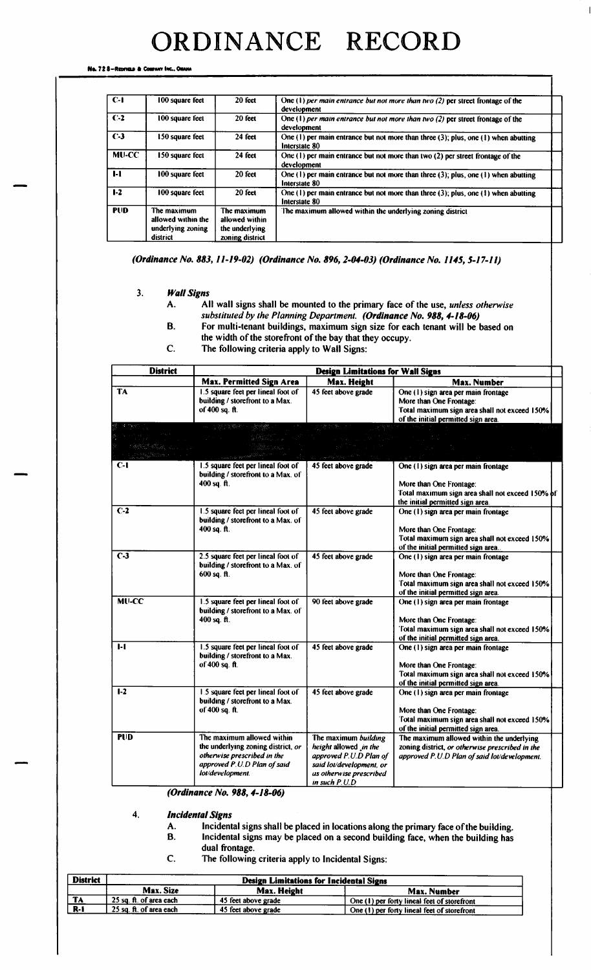Ne. 72 8-Reaman & Co.

| $C-1$        | 100 square feet                                                    | 20 feet                                                            | One (1) per main entrance but not more than two (2) per street frontage of the<br>development              |
|--------------|--------------------------------------------------------------------|--------------------------------------------------------------------|------------------------------------------------------------------------------------------------------------|
| $C-2$        | 100 square feet                                                    | 20 feet                                                            | One (1) per main entrance but not more than two (2) per street frontage of the<br>development              |
| $C-3$        | 150 square feet                                                    | 24 feet                                                            | One $(1)$ per main entrance but not more than three $(3)$ ; plus, one $(1)$ when abutting<br>Interstate 80 |
| <b>MU-CC</b> | 150 square feet                                                    | 24 feet                                                            | One (1) per main entrance but not more than two (2) per street frontage of the<br>development              |
| $1-1$        | 100 square feet                                                    | 20 feet                                                            | One $(1)$ per main entrance but not more than three $(3)$ ; plus, one $(1)$ when abutting<br>Interstate 80 |
| $1-2$        | 100 square feet                                                    | 20 feet                                                            | One (1) per main entrance but not more than three $(3)$ ; plus, one $(1)$ when abutting<br>Interstate 80   |
| <b>PUD</b>   | The maximum<br>allowed within the<br>underlying zoning<br>district | The maximum<br>allowed within<br>the underlying<br>zoning district | The maximum allowed within the underlying zoning district                                                  |

(Ordinance No. 883, 11-19-02) (Ordinance No. 896, 2-04-03) (Ordinance No. 1145, 5-17-11)

- 3. Wall Signs
	- A. All wall signs shall be mounted to the primary face of the use, unless otherwise substituted by the Planning Department. (Ordinance No. 988, 4-18-06)
	- B. For multi-tenant buildings, maximum sign size for each tenant will be based on
		- the width of the storefront of the bay that they occupy.
	- C. The following criteria apply to Wall Signs:

| <b>District</b>  | <b>Design Limitations for Wall Signs</b>                                                                                                           |                                                                                                                                                   |                                                                                                                                                        |  |  |  |  |  |  |
|------------------|----------------------------------------------------------------------------------------------------------------------------------------------------|---------------------------------------------------------------------------------------------------------------------------------------------------|--------------------------------------------------------------------------------------------------------------------------------------------------------|--|--|--|--|--|--|
|                  | <b>Max. Permitted Sign Area</b>                                                                                                                    | Max. Height                                                                                                                                       | Max. Number                                                                                                                                            |  |  |  |  |  |  |
| <b>TA</b>        | 1.5 square feet per lineal foot of<br>building / storefront to a Max.<br>of 400 sq. ft.                                                            | 45 feet above grade                                                                                                                               | One (1) sign area per main frontage<br>More than One Frontage:<br>Total maximum sign area shall not exceed 150%<br>of the initial permitted sign area. |  |  |  |  |  |  |
|                  | 나는 늦잠을 완화했어?<br>$\mathcal{L}^{\mathcal{L}}(k)$ , $\mathcal{L}^{\mathcal{L}}(k)$                                                                    | ال ما <sup>ر الم</sup> ارد المؤمن المعامل                                                                                                         | a la kora f                                                                                                                                            |  |  |  |  |  |  |
| $C-1$            | 1.5 square feet per lineal foot of<br>building / storefront to a Max. of<br>$400$ sq. ft.                                                          | 45 feet above grade                                                                                                                               | One (1) sign area per main frontage<br>More than One Frontage:<br>Total maximum sign area shall not exceed 150% of<br>the initial permitted sign area. |  |  |  |  |  |  |
| $\overline{C-2}$ | 1.5 square feet per lineal foot of<br>building / storefront to a Max. of<br>400 sq. ft.                                                            | 45 feet above grade                                                                                                                               | One (1) sign area per main frontage<br>More than One Frontage:<br>Total maximum sign area shall not exceed 150%<br>of the initial permitted sign area. |  |  |  |  |  |  |
| $C-3$            | 2.5 square feet per lineal foot of<br>building / storefront to a Max. of<br>$600$ sq. ft.                                                          | 45 feet above grade                                                                                                                               | One (1) sign area per main frontage<br>More than One Frontage:<br>Total maximum sign area shall not exceed 150%<br>of the initial permitted sign area. |  |  |  |  |  |  |
| <b>MU-CC</b>     | 1.5 square feet per lineal foot of<br>building / storefront to a Max. of<br>400 sq. ft.                                                            | 90 feet above grade                                                                                                                               | One (1) sign area per main frontage<br>More than One Frontage:<br>Total maximum sign area shall not exceed 150%<br>of the initial permitted sign area. |  |  |  |  |  |  |
| 1-1              | 1.5 square feet per lineal foot of<br>building / storefront to a Max.<br>of 400 sq. ft.                                                            | 45 feet above grade                                                                                                                               | One (1) sign area per main frontage<br>More than One Frontage:<br>Total maximum sign area shall not exceed 150%<br>of the initial permitted sign area. |  |  |  |  |  |  |
| $1-2$            | 1.5 square feet per lineal foot of<br>building / storefront to a Max.<br>of 400 sq. ft.                                                            | 45 feet above grade                                                                                                                               | One (1) sign area per main frontage<br>More than One Frontage:<br>Total maximum sign area shall not exceed 150%<br>of the initial permitted sign area. |  |  |  |  |  |  |
| <b>PUD</b>       | The maximum allowed within<br>the underlying zoning district, or<br>otherwise prescribed in the<br>approved P.U.D Plan of said<br>lot/development. | The maximum building<br>height allowed in the<br>approved P.U.D Plan of<br>said lot/development, or<br>us otherwise prescribed<br>in such $P.U.D$ | The maximum allowed within the underlying<br>zoning district, or otherwise prescribed in the<br>approved P.U.D Plan of said lot/development.           |  |  |  |  |  |  |

(Ordinance No. 988, 4-18-06)

- 4. Incidental Signs
	- A. Incidental signs shall be placed in locations along the primary face of the building.<br>B. Incidental signs may be placed on a second building face, when the building has
		- Incidental signs may be placed on a second building face, when the building has
	- dual frontage.
	- C. The following criteria apply to Incidental Signs:

| <b>District</b> | <b>Design Limitations for Incidental Signs</b> |                            |                                             |  |  |  |  |  |  |  |  |  |
|-----------------|------------------------------------------------|----------------------------|---------------------------------------------|--|--|--|--|--|--|--|--|--|
|                 | Max. Size                                      | Max. Height<br>Max. Number |                                             |  |  |  |  |  |  |  |  |  |
| <b>TA</b>       | 25 sq. ft. of area each                        | 45 feet above grade        | One (1) per forty lineal feet of storefront |  |  |  |  |  |  |  |  |  |
| $R-1$           | 25 sq. ft. of area each                        | 45 feet above grade        | One (1) per forty lineal feet of storefront |  |  |  |  |  |  |  |  |  |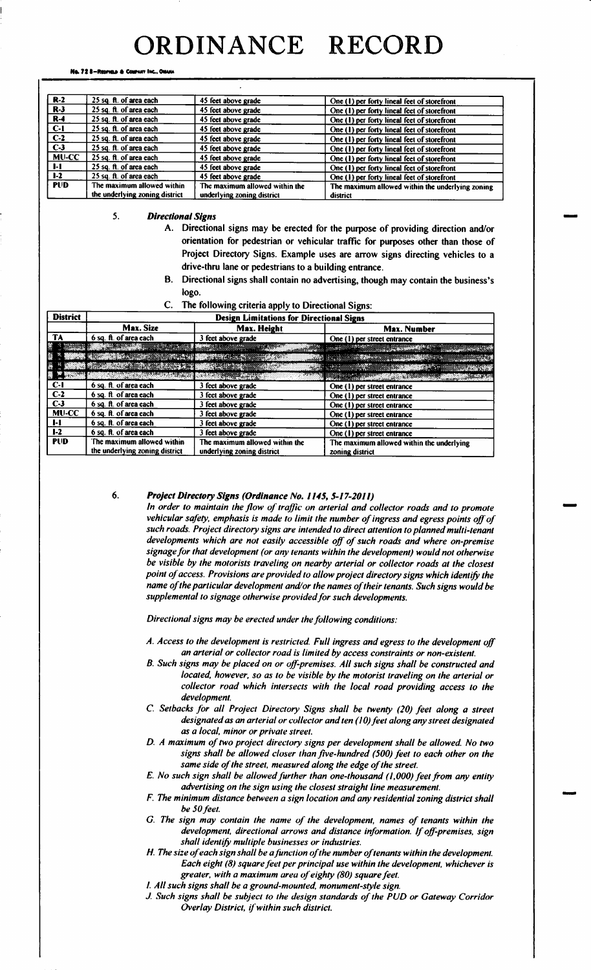No. 728-Resman & Com

| $R-2$        | 25 sq. ft. of area each        | 45 feet above grade            | One (1) per forty lineal feet of storefront      |
|--------------|--------------------------------|--------------------------------|--------------------------------------------------|
| $R-3$        | 25 sq. ft. of area each        | 45 feet above grade            | One (1) per forty lineal feet of storefront      |
| <b>R-4</b>   | 25 sq. ft. of area each        | 45 feet above grade            | One (1) per forty lineal feet of storefront      |
| $C-1$        | 25 sq. ft. of area each        | 45 feet above grade            | One (1) per forty lineal feet of storefront      |
| $C-2$        | 25 sq. ft. of area each        | 45 feet above grade            | One (1) per forty lineal feet of storefront      |
| $C-3$        | 25 sq. ft. of area each        | 45 feet above grade            | One (1) per forty lineal feet of storefront      |
| <b>MU-CC</b> | 25 sq. ft. of area each        | 45 feet above grade            | One (1) per forty lineal feet of storefront      |
| - 1-1        | 25 sq. ft. of area each        | 45 feet above grade            | One (1) per forty lineal feet of storefront      |
| $1-2$        | 25 sq. ft. of area each        | 45 feet above grade            | One (1) per forty lineal feet of storefront      |
| <b>PUD</b>   | The maximum allowed within     | The maximum allowed within the | The maximum allowed within the underlying zoning |
|              | the underlying zoning district | underlying zoning district     | district                                         |

 $5.$ **Directional Signs** 

- A. Directional signs may be erected for the purpose of providing direction and/or orientation for pedestrian or vehicular traffic for purposes other than those of Project Directory Signs. Example uses are arrow signs directing vehicles to a drive-thru lane or pedestrians to a building entrance.
- B. Directional signs shall contain no advertising, though may contain the business's logo.
- The following criteria apply to Directional Signs:  $C_{\cdot}$

| <b>District</b>    | <b>Design Limitations for Directional Signs</b>                                                                |                                |                                                                        |  |  |  |  |  |  |  |  |
|--------------------|----------------------------------------------------------------------------------------------------------------|--------------------------------|------------------------------------------------------------------------|--|--|--|--|--|--|--|--|
|                    | Max. Size                                                                                                      | Max. Height                    | Max. Number                                                            |  |  |  |  |  |  |  |  |
| TA                 | 6 sq. ft. of area each                                                                                         | 3 feet above grade             | One (1) per street entrance                                            |  |  |  |  |  |  |  |  |
|                    | <u> 1988 - John Barnett, fransk politiker (</u>                                                                |                                |                                                                        |  |  |  |  |  |  |  |  |
|                    | N MARIN KUSING BALANG PERDANG KALENDAR KE SEBARA KE SEBAGAI SERANG PERDANGAN KE SEBAGAI SERANG PERDANGAN KE SE |                                |                                                                        |  |  |  |  |  |  |  |  |
| <b>A MARK</b>      |                                                                                                                |                                |                                                                        |  |  |  |  |  |  |  |  |
| <b>Maria Maria</b> |                                                                                                                | <b>TARA TARRITA ANG I</b>      | <b>A TO A CHANGE OF THE ANGLE OF THE ANGLE OF THE ANGLE OF THE ANG</b> |  |  |  |  |  |  |  |  |
| $C-1$              | 6 sq. ft. of area each                                                                                         | 3 feet above grade             | One (1) per street entrance                                            |  |  |  |  |  |  |  |  |
| $C-2$              | 6 sq. ft. of area each                                                                                         | 3 feet above grade             | One (1) per street entrance                                            |  |  |  |  |  |  |  |  |
| $C-3$              | 6 sq. ft. of area each                                                                                         | 3 feet above grade             | One (1) per street entrance                                            |  |  |  |  |  |  |  |  |
| <b>MU-CC</b>       | 6 sq. ft. of area each                                                                                         | 3 feet above grade             | One (1) per street entrance                                            |  |  |  |  |  |  |  |  |
| $1-1$              | 6 sq. ft. of area each                                                                                         | 3 feet above grade             | One (1) per street entrance                                            |  |  |  |  |  |  |  |  |
| $1-2$              | 6 sq. ft. of area each                                                                                         | 3 feet above grade             | One (1) per street entrance                                            |  |  |  |  |  |  |  |  |
| <b>PUD</b>         | The maximum allowed within                                                                                     | The maximum allowed within the | The maximum allowed within the underlying                              |  |  |  |  |  |  |  |  |
|                    | the underlying zoning district                                                                                 | underlying zoning district     | zoning district                                                        |  |  |  |  |  |  |  |  |

#### 6. Project Directory Signs (Ordinance No. 1145, 5-17-2011)

In order to maintain the flow of traffic on arterial and collector roads and to promote vehicular safety, emphasis is made to limit the number of ingress and egress points off of such roads. Project directory signs are intended to direct attention to planned multi-tenant developments which are not easily accessible off of such roads and where on-premise signage for that development (or any tenants within the development) would not otherwise be visible by the motorists traveling on nearby arterial or collector roads at the closest point of access. Provisions are provided to allow project directory signs which identify the name of the particular development and/or the names of their tenants. Such signs would be supplemental to signage otherwise provided for such developments.

Directional signs may be erected under the following conditions:

- A. Access to the development is restricted. Full ingress and egress to the development off an arterial or collector road is limited by access constraints or non-existent.
- B. Such signs may be placed on or off-premises. All such signs shall be constructed and located, however, so as to be visible by the motorist traveling on the arterial or collector road which intersects with the local road providing access to the development.
- C. Setbacks for all Project Directory Signs shall be twenty (20) feet along a street designated as an arterial or collector and ten (10) feet along any street designated as a local, minor or private street.
- D. A maximum of two project directory signs per development shall be allowed. No two signs shall be allowed closer than five-hundred (500) feet to each other on the same side of the street, measured along the edge of the street.
- E. No such sign shall be allowed further than one-thousand (1,000) feet from any entity advertising on the sign using the closest straight line measurement.
- F. The minimum distance between a sign location and any residential zoning district shall be 50 feet.
- G. The sign may contain the name of the development, names of tenants within the development, directional arrows and distance information. If off-premises, sign shall identify multiple businesses or industries.
- H. The size of each sign shall be a function of the number of tenants within the development. Each eight (8) square feet per principal use within the development, whichever is greater, with a maximum area of eighty (80) square feet.
- I. All such signs shall be a ground-mounted, monument-style sign.
- J. Such signs shall be subject to the design standards of the PUD or Gateway Corridor Overlay District, if within such district.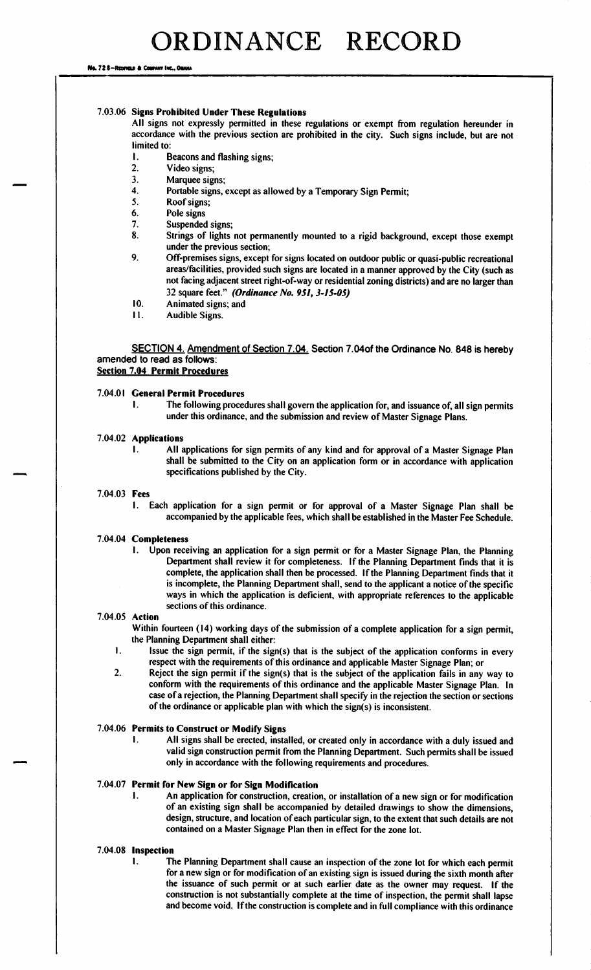Ns. 72 8–Reorieux & Co

# 7. 03. 06 Signs Prohibited Under These Regulations

All signs not expressly permitted in these regulations or exempt from regulation hereunder in accordance with the previous section are prohibited in the city. Such signs include, but are not limited to:

- 1. Beacons and flashing signs;<br>2. Video signs;
- Video signs;
- 3. Marquee signs;
- 4. Portable signs, except as allowed by a Temporary Sign Permit;<br>5. Roof signs:
- Roof signs;
- 6. Pole signs
- 7. Suspended signs;
- 8. Strings of lights not permanently mounted to <sup>a</sup> rigid background, except those exempt under the previous section;
- 9. Off-premises signs, except for signs located on outdoor public or quasi-public recreational areas/facilities, provided such signs are located in a manner approved by the City (such as not facing adjacent street right-of-way or residential zoning districts) and are no larger than 32 square feet." (Ordinance No. 951, 3-15-05)
- 10. Animated signs; and
- 11. Audible Signs.

SECTION 4. Amendment of Section 7.04. Section 7.04of the Ordinance No. 848 is hereby amended to read as follows: Section 7.04 Permit Procedures

# 7. 04.01 General Permit Procedures

1. The following procedures shall govern the application for, and issuance of, all sign permits under this ordinance, and the submission and review of Master Signage Plans.

# 7. 04. 02 Applications

I. All applications for sign permits of any kind and for approval of <sup>a</sup> Master Signage Plan shall be submitted to the City on an application form or in accordance with application specifications published by the City.

# 7.04.03 Fees

I. Each application for <sup>a</sup> sign permit or for approval of <sup>a</sup> Master Signage Plan shall be accompanied by the applicable fees, which shall be established in the Master Fee Schedule.

#### 7. 04. 04 Completeness

I. Upon receiving an application for <sup>a</sup> sign permit or for <sup>a</sup> Master Signage Plan, the Planning Department shall review it for completeness. If the Planning Department finds that it is complete, the application shall then be processed. If the Planning Department finds that it is incomplete, the Planning Department shall, send to the applicant <sup>a</sup> notice of the specific ways in which the application is deficient, with appropriate references to the applicable sections of this ordinance.

# 7. 04. 05 Action

Within fourteen ( 14) working days of the submission of <sup>a</sup> complete application for <sup>a</sup> sign permit, the Planning Department shall either:

- Issue the sign permit, if the sign(s) that is the subject of the application conforms in every  $\mathbf{I}$ . respect with the requirements of this ordinance and applicable Master Signage Plan; or
- 2. Reject the sign permit if the sign(s) that is the subject of the application fails in any way to conform with the requirements of this ordinance and the applicable Master Signage Plan. In case of <sup>a</sup> rejection, the Planning Department shall specify in the rejection the section or sections of the ordinance or applicable plan with which the sign(s) is inconsistent.

# 7. 04. 06 Permits to Construct or Modify Signs

All signs shall be erected, installed, or created only in accordance with a duly issued and valid sign construction permit from the Planning Department. Such permits shall be issued only in accordance with the following requirements and procedures.

# 7. 04. 07 Permit for New Sign or for Sign Modification

I. An application for construction, creation, or installation of a new sign or for modification of an existing sign shall be accompanied by detailed drawings to show the dimensions, design, structure, and location of each particular sign, to the extent that such details are not contained on a Master Signage Plan then in effect for the zone lot.

## 7.04.08 Inspection

1. The Planning Department shall cause an inspection of the zone lot for which each permit for <sup>a</sup> new sign or for modification of an existing sign is issued during the sixth month after the issuance of such permit or at such earlier date as the owner may request. If the construction is not substantially complete at the time of inspection, the permit shall lapse and become void. Ifthe construction is complete and in full compliance with this ordinance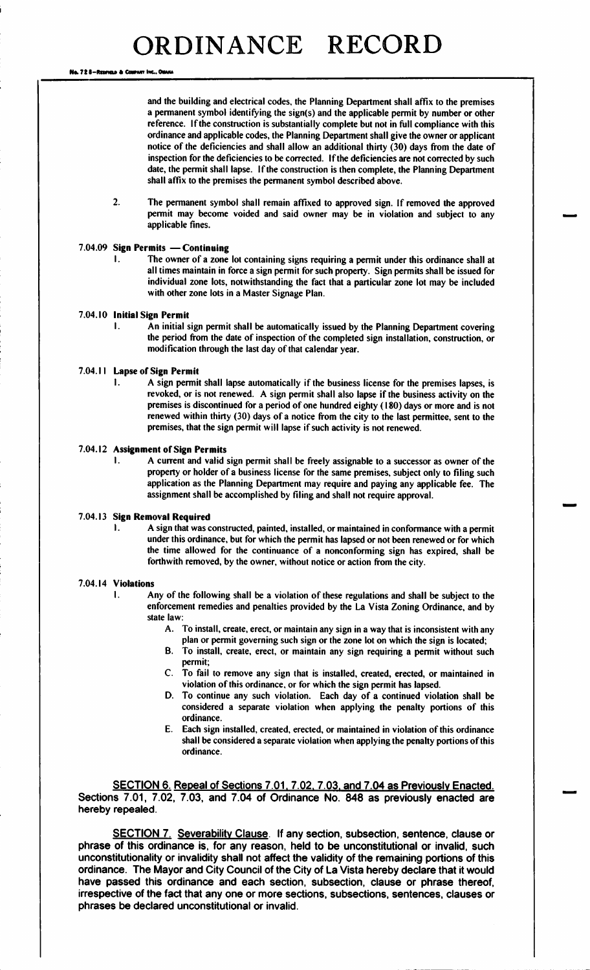No. 72 8-Resman & Courset Inc., Or

and the building and electrical codes, the Planning Department shall affix to the premises a permanent symbol identifying the sign(s) and the applicable permit by number or other reference. If the construction is substantially complete but not in full compliance with this ordinance and applicable codes, the Planning Department shall give the owner or applicant notice of the deficiencies and shall allow an additional thirty (30) days from the date of inspection for the deficiencies to be corrected. If the deficiencies are not corrected by such date, the permit shall lapse. If the construction is then complete, the Planning Department shall affix to the premises the permanent symbol described above.

2. The permanent symbol shall remain affixed to approved sign. If removed the approved permit may become voided and said owner may be in violation and subject to any applicable fines.

# 7. 04. 09 Sign Permits — Continuing

The owner of a zone lot containing signs requiring a permit under this ordinance shall at all times maintain in force a sign permit for such property. Sign permits shall be issued for individual zone lots, notwithstanding the fact that a particular zone lot may be included with other zone lots in a Master Signage Plan.

# 7.04.10 Initial Sign Permit

I. An initial sign permit shall be automatically issued by the Planning Department covering the period from the date of inspection of the completed sign installation, construction, or modification through the last day of that calendar year.

#### 7.04.11 Lapse of Sign Permit

1. A sign permit shall lapse automatically if the business license for the premises lapses, is revoked, or is not renewed. A sign permit shall also lapse if the business activity on the premises is discontinued for a period of one hundred eighty (180) days or more and is not renewed within thirty (30) days of a notice from the city to the last permittee, sent to the premises, that the sign permit will lapse if such activity is not renewed.

# 7.04.12 Assignment of Sign Permits<br>1. A current and valid

A current and valid sign permit shall be freely assignable to a successor as owner of the property or holder of <sup>a</sup> business license for the same premises, subject only to filing such application as the Planning Department may require and paying any applicable fee. The assignment shall be accomplished by filing and shall not require approval.

#### 7. 04. 13 Sign Removal Required

1. A sign that was constructed, painted, installed, or maintained in conformance with a permit under this ordinance, but for which the permit has lapsed or not been renewed or for which the time allowed for the continuance of <sup>a</sup> nonconforming sign has expired, shall be forthwith removed, by the owner, without notice or action from the city.

# 7. 04. 14 Violations

- I. Any of the following shall be <sup>a</sup> violation of these regulations and shall be subject to the enforcement remedies and penalties provided by the La Vista Zoning Ordinance, and by state law:
	- A. To install, create, erect, or maintain any sign in <sup>a</sup> way that is inconsistent with any plan or permit governing such sign or the zone lot on which the sign is located;
	- B. To install, create, erect, or maintain any sign requiring <sup>a</sup> permit without such permit;
	- C. To fail to remove any sign that is installed, created, erected, or maintained in violation of this ordinance, or for which the sign permit has lapsed.
	- D. To continue any such violation. Each day of <sup>a</sup> continued violation shall be considered <sup>a</sup> separate violation when applying the penalty portions of this ordinance.
	- E. Each sign installed, created, erected, or maintained in violation of this ordinance shall be considered <sup>a</sup> separate violation when applying the penalty portions of this ordinance.

SECTION 6. Repeal of Sections 7. 01. 7. 02. 7. 03. and 7. 04 as Previously Enacted. Sections 7.01, 7.02, 7.03, and 7.04 of Ordinance No. 848 as previously enacted are hereby repealed.

SECTION 7. Severability Clause. If any section, subsection, sentence, clause or phrase of this ordinance is, for any reason, held to be unconstitutional or invalid, such unconstitutionality or invalidity shall not affect the validity of the remaining portions of this ordinance. The Mayor and City Council of the City of La Vista hereby declare that it would have passed this ordinance and each section, subsection, clause or phrase thereof, irrespective of the fact that any one or more sections, subsections, sentences, clauses or phrases be declared unconstitutional or invalid.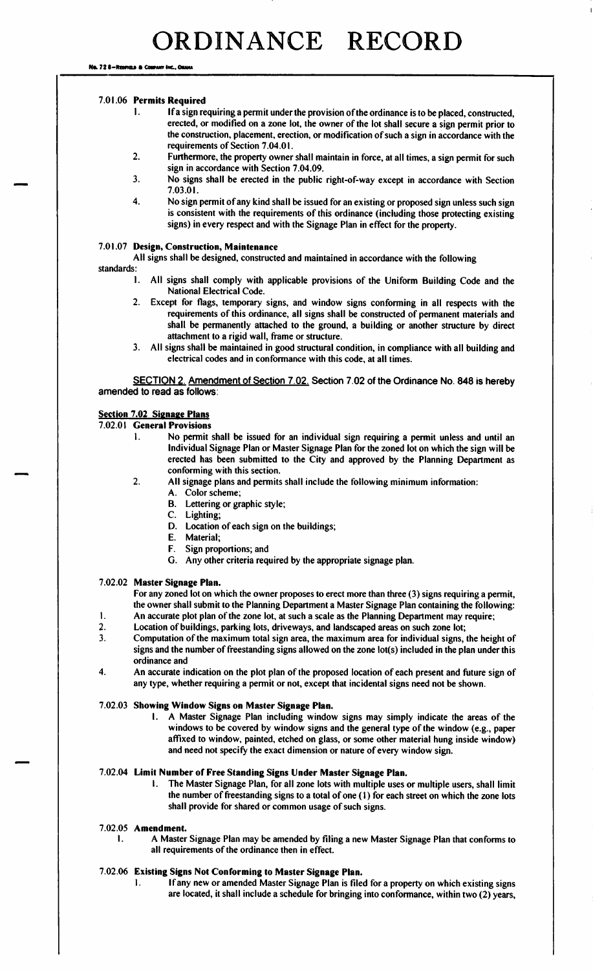No. 72 8-Rearies & Courant Inc., Ouan

# 7. 01. 06 Permits Required

- 1. If a sign requiring a permit under the provision of the ordinance is to be placed, constructed, erected, or modified on a zone lot, the owner of the lot shall secure a sign permit prior to the construction, placement, erection, or modification of such <sup>a</sup> sign in accordance with the requirements of Section 7.04.01.
- 2. Furthermore, the property owner shall maintain in force, at all times, <sup>a</sup> sign permit for such sign in accordance with Section 7. 04.09.
- 3. No signs shall be erected in the public right-of-way except in accordance with Section 7. 03. 01.
- 4. No sign permit of any kind shall be issued for an existing or proposed sign unless such sign is consistent with the requirements of this ordinance (including those protecting existing signs) in every respect and with the Signage Plan in effect for the property.

# 7. 01. 07 Design, Construction, Maintenance

- All signs shall be designed, constructed and maintained in accordance with the following
- standards:
	- I. All signs shall comply with applicable provisions of the Uniform Building Code and the National Electrical Code.
	- 2. Except for flags, temporary signs, and window signs conforming in all respects with the requirements of this ordinance, all signs shall be constructed of permanent materials and shall be permanently attached to the ground, a building or another structure by direct attachment to a rigid wall, frame or structure.
	- 3. All signs shall be maintained in good structural condition, in compliance with all building and electrical codes and in conformance with this code, at all times.

SECTION 2. Amendment of Section 7.02. Section 7.02 of the Ordinance No. 848 is hereby amended to read as follows:

# **Section 7.02 Signage Plans**

## 7. 02.01 General Provisions

- 1. No permit shall be issued for an individual sign requiring a permit unless and until an Individual Signage Plan or Master Signage Plan for the zoned lot on which the sign will be erected has been submitted to the City and approved by the Planning Department as conforming with this section.
- 2. All signage plans and permits shall include the following minimum information:
	- A. Color scheme;
		- B. Lettering or graphic style;
		- C. Lighting;
		- D. Location of each sign on the buildings;
		- E. Material;
		- F. Sign proportions; and
		- G. Any other criteria required by the appropriate signage plan.

## 7. 02.02 Master Signage Plan.

For any zoned lot on which the owner proposes to erect more than three (3) signs requiring a permit, the owner shall submit to the Planning Department a Master Signage Plan containing the following:

- 1. An accurate plot plan of the zone lot, at such a scale as the Planning Department may require;<br>2. Location of buildings, parking lots, driveways, and landscaped areas on such zone lot:
- 2. Location of buildings, parking lots, driveways, and landscaped areas on such zone lot;<br>2. Computation of the maximum total sign area, the maximum area for individual signs.
- 3. Computation of the maximum total sign area, the maximum area for individual signs, the height of signs and the number of freestanding signs allowed on the zone lot(s) included in the plan under this ordinance and
- 4. An accurate indication on the plot plan of the proposed location of each present and future sign of any type, whether requiring a permit or not, except that incidental signs need not be shown.

# 7. 02.03 Showing Window Signs on Master Signage Plan.

I. A Master Signage Plan including window signs may simply indicate the areas of the windows to be covered by window signs and the general type of the window (e.g., paper affixed to window, painted, etched on glass, or some other material hung inside window) and need not specify the exact dimension or nature of every window sign.

## 7. 02. 04 Limit Number of Free Standing Signs Under Master Signage Plan.

I. The Master Signage Plan, for all zone lots with multiple uses or multiple users, shall limit the number of freestanding signs to a total of one  $(1)$  for each street on which the zone lots shall provide for shared or common usage of such signs.

#### 7. 02. 05 Amendment.

I. A Master Signage Plan may be amended by filing a new Master Signage Plan that conforms to all requirements of the ordinance then in effect.

# 7. 02. 06 Existing Signs Not Conforming to Master Signage Plan.

If any new or amended Master Signage Plan is filed for a property on which existing signs are located, it shall include <sup>a</sup> schedule for bringing into conformance, within two( 2) years,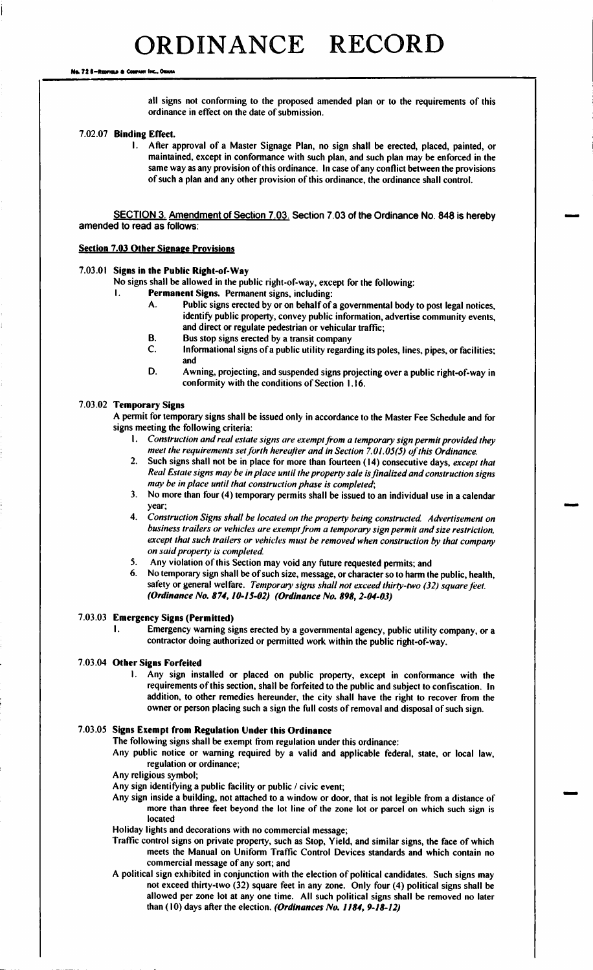No. 72 6-Reorian & Cou

all signs not conforming to the proposed amended plan or to the requirements of this ordinance in effect on the date of submission.

#### 7. 02. 07 Binding Effect.

I. After approval of <sup>a</sup> Master Signage Plan, no sign shall be erected, placed, painted, or maintained, except in conformance with such plan, and such plan may be enforced in the same way as any provision of this ordinance. In case of any conflict between the provisions of such <sup>a</sup> plan and any other provision of this ordinance, the ordinance shall control.

SECTION 3. Amendment of Section 7.03. Section 7. 03 of the Ordinance No. 848 is hereby amended to read as follows:

#### **Section 7.03 Other Signage Provisions**

#### 7.03.01 Signs in the Public Right-of-Way

No signs shall be allowed in the public right-of-way, except for the following:<br>Permanent Signs Permanent signs including:

- **Permanent Signs.** Permanent signs, including:<br>A. Public signs erected by or on behalf of a
	- Public signs erected by or on behalf of a governmental body to post legal notices, identify public property, convey public information, advertise community events, and direct or regulate pedestrian or vehicular traffic;
	- B. Bus stop signs erected by a transit company<br>C. Informational signs of a public utility regard
	- Informational signs of a public utility regarding its poles, lines, pipes, or facilities; and
	- D. Awning, projecting, and suspended signs projecting over <sup>a</sup> public right-of-way in conformity with the conditions of Section 1. 16.

## 7. 03. 02 Temporary Signs

A permit for temporary signs shall be issued only in accordance to the Master Fee Schedule and for signs meeting the following criteria:

- I. Construction and real estate signs are exempt from a temporary sign permit provided they meet the requirements set forth hereafter and in Section 7.01.05(5) of this Ordinance.
- 2. Such signs shall not be in place for more than fourteen (14) consecutive days, except that Real Estate signs may be in place until the property sale is finalized and construction signs may be in place until that construction phase is completed;
- 3. No more than four (4) temporary permits shall be issued to an individual use in a calendar year;
- 4. Construction Signs shall be located on the property being constructed. Advertisement on business trailers or vehicles are exempt from a temporary sign permit and size restriction, except that such trailers or vehicles must be removed when construction by that company on said property is completed.
- 5. Any violation of this Section may void any future requested permits; and<br>6. No temporary sign shall be of such size, message, or character so to harm the
- No temporary sign shall be of such size, message, or character so to harm the public, health, safety or general welfare. Temporary signs shall not exceed thirty-two (32) square feet. (Ordinance No. 874, 10-15-02) (Ordinance No. 898, 2-04-03)

# 7.03.03 **Emergency Signs (Permitted)**<br>Emergency warning signal

Emergency warning signs erected by a governmental agency, public utility company, or a contractor doing authorized or permitted work within the public right-of-way.

#### 7.03.04 Other Signs Forfeited

1. Any sign installed or placed on public property, except in conformance with the requirements of this section, shall be forfeited to the public and subject to confiscation. In addition, to other remedies hereunder, the city shall have the right to recover from the owner or person placing such <sup>a</sup> sign the full costs of removal and disposal of such sign.

# 7.03. 05 Signs Exempt from Regulation Under this Ordinance

The following signs shall be exempt from regulation under this ordinance:

Any public notice or warning required by a valid and applicable federal, state, or local law, regulation or ordinance;

Any religious symbol;

Any sign identifying a public facility or public/ civic event;

Any sign inside a building, not attached to a window or door, that is not legible from a distance of more than three feet beyond the lot line of the zone lot or parcel on which such sign is located

Holiday lights and decorations with no commercial message;

- Traffic control signs on private property, such as Stop, Yield, and similar signs, the face of which meets the Manual on Uniform Traffic Control Devices standards and which contain no commercial message of any sort; and
- A political sign exhibited in conjunction with the election of political candidates. Such signs may not exceed thirty-two( 32) square feet in any zone. Only four( 4) political signs shall be allowed per zone lot at any one time. All such political signs shall be removed no later than (10) days after the election. (Ordinances No. 1184, 9-18-12)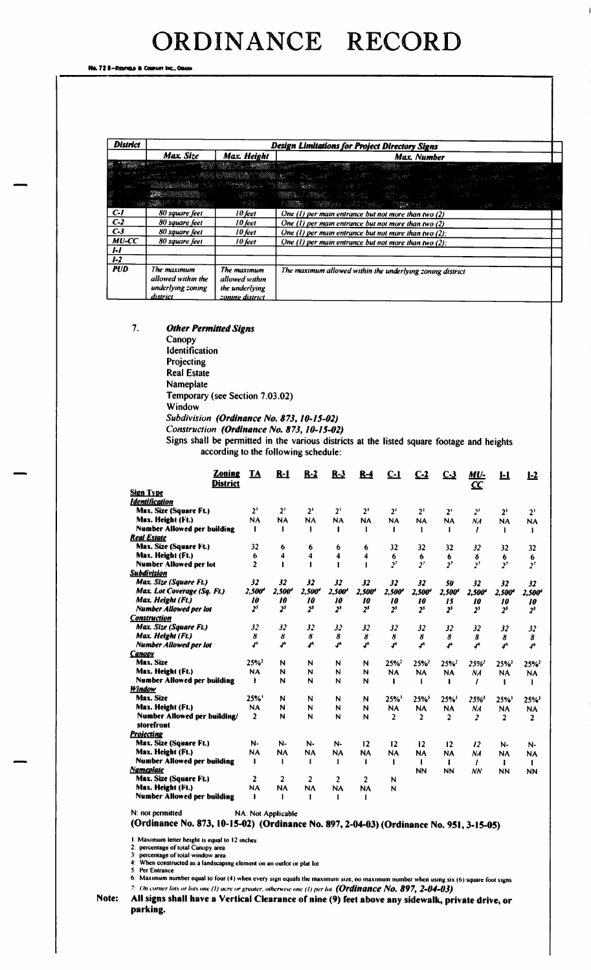Na. 72 8-Reonais a Co

| <b>District</b> | <b>Design Limitations for Project Directory Signs</b>                                                                                                                                                                                                                                                                                                                                                                                                                                                 |                                                                    |                                                                                                                                                                                                                                                                         |  |  |  |  |  |  |  |  |
|-----------------|-------------------------------------------------------------------------------------------------------------------------------------------------------------------------------------------------------------------------------------------------------------------------------------------------------------------------------------------------------------------------------------------------------------------------------------------------------------------------------------------------------|--------------------------------------------------------------------|-------------------------------------------------------------------------------------------------------------------------------------------------------------------------------------------------------------------------------------------------------------------------|--|--|--|--|--|--|--|--|
|                 | Max. Size                                                                                                                                                                                                                                                                                                                                                                                                                                                                                             | Max. Height                                                        | Max. Number                                                                                                                                                                                                                                                             |  |  |  |  |  |  |  |  |
|                 |                                                                                                                                                                                                                                                                                                                                                                                                                                                                                                       |                                                                    | <b>REGISTER COMMUNICATION CONTINUES AND CONTINUES OF A CONTINUES OF A CONTINUES OF A CONTINUES OF A COMMUNICATION</b><br>그 왕조치<br>A START AND COMPANY OF THE START OF THE START OF THE START OF THE START OF THE START OF THE START OF THE START<br>والمستعمل والمتحارب |  |  |  |  |  |  |  |  |
|                 |                                                                                                                                                                                                                                                                                                                                                                                                                                                                                                       |                                                                    |                                                                                                                                                                                                                                                                         |  |  |  |  |  |  |  |  |
|                 |                                                                                                                                                                                                                                                                                                                                                                                                                                                                                                       |                                                                    | A THE RESEARCH AND A THREE AND A RESIDENCE AND A RESIDENCE AND A RESIDENCE AND A RESIDENCE AND A RESIDENCE AND                                                                                                                                                          |  |  |  |  |  |  |  |  |
|                 | $\label{eq:4} \mathcal{L}_{\mathcal{A}}\left(\mathcal{L}_{\mathcal{A}}\right)=\mathcal{L}_{\mathcal{A}}\left(\mathcal{L}_{\mathcal{A}}\right)=\mathcal{L}_{\mathcal{A}}\left(\mathcal{L}_{\mathcal{A}}\right)=\mathcal{L}_{\mathcal{A}}\left(\mathcal{L}_{\mathcal{A}}\right)=\mathcal{L}_{\mathcal{A}}\left(\mathcal{L}_{\mathcal{A}}\right)=\mathcal{L}_{\mathcal{A}}\left(\mathcal{L}_{\mathcal{A}}\right)=\mathcal{L}_{\mathcal{A}}\left(\mathcal{L}_{\mathcal{A}}\right)=\mathcal{L}_{\mathcal{$ |                                                                    |                                                                                                                                                                                                                                                                         |  |  |  |  |  |  |  |  |
| $c-1$           | 80 square feet                                                                                                                                                                                                                                                                                                                                                                                                                                                                                        | 10 feet                                                            | One $(1)$ per main entrance but not more than two $(2)$                                                                                                                                                                                                                 |  |  |  |  |  |  |  |  |
| $C-2$           | 80 square feet                                                                                                                                                                                                                                                                                                                                                                                                                                                                                        | 10 feet                                                            | One $(1)$ per main entrance but not more than two $(2)$                                                                                                                                                                                                                 |  |  |  |  |  |  |  |  |
| $C-3$           | 80 square feet                                                                                                                                                                                                                                                                                                                                                                                                                                                                                        | 10 feet                                                            | One (1) per main entrance but not more than two $(2)$ ;                                                                                                                                                                                                                 |  |  |  |  |  |  |  |  |
| $MU$ - $CC$     | 80 square feet                                                                                                                                                                                                                                                                                                                                                                                                                                                                                        | 10 feet                                                            | One (1) per main entrance but not more than two $(2)$ :                                                                                                                                                                                                                 |  |  |  |  |  |  |  |  |
| ŀI              |                                                                                                                                                                                                                                                                                                                                                                                                                                                                                                       |                                                                    |                                                                                                                                                                                                                                                                         |  |  |  |  |  |  |  |  |
| $1-2$           |                                                                                                                                                                                                                                                                                                                                                                                                                                                                                                       |                                                                    |                                                                                                                                                                                                                                                                         |  |  |  |  |  |  |  |  |
| <b>PUD</b>      | The maximum<br>allowed within the<br>underlying coning<br>district                                                                                                                                                                                                                                                                                                                                                                                                                                    | The maximum<br>allowed within<br>the underlying<br>zoning district | The maximum allowed within the underlying zoning district                                                                                                                                                                                                               |  |  |  |  |  |  |  |  |

7. Other Permitted Signs

Canopy Identification Projecting Real Estate Nameplate Temporary (see Section 7.03.02) Window Subdivision (Ordinance No. 873, 10-15-02) Construction (Ordinance No. 873, 10-15-02)

Signs shall be permitted in the various districts at the listed square footage and heights according to the following schedule:

| <b>Sign Type</b><br><b>Identification</b><br>Max. Size (Square Ft.)<br>2 <sup>1</sup><br>2 <sup>1</sup><br>2 <sup>1</sup><br>2 <sup>1</sup><br>$2^1$<br>$2^1$<br>2 <sup>1</sup><br>2 <sup>1</sup><br>2 <sup>t</sup><br>2 <sup>1</sup><br>2 <sup>1</sup><br>Max. Height (Ft.)<br><b>NA</b><br><b>NA</b><br><b>NA</b><br><b>NA</b><br><b>NA</b><br><b>NA</b><br><b>NA</b><br><b>NA</b><br>NA<br><b>NA</b><br><b>NA</b><br><b>Number Allowed per building</b><br>$\mathbf{I}$<br>1<br>1<br><b>Real Estate</b><br>Max. Size (Square Ft.)<br>32<br>32<br>32<br>6<br>6<br>32<br>6<br>6<br>32<br>32<br>32<br>Max. Height (Ft.)<br>$6\phantom{1}6$<br>4<br>4<br>4<br>4<br>6<br>6<br>6<br>6<br>6<br>6<br>$\overline{2}$<br>2 <sup>7</sup><br>2 <sup>7</sup><br>2 <sup>7</sup><br><b>Number Allowed per lot</b><br>2 <sup>7</sup><br>2 <sup>7</sup><br>2 <sup>7</sup><br><b>Subdivision</b><br>Max. Size (Square Ft.)<br>32<br>32<br>32<br>32<br>32<br>32<br>32<br>50<br>32<br>32<br>32<br>2,500<br>Max. Lot Coverage (Sq. Ft.)<br>2,500<br>2,500'<br>2,500 <sup>4</sup><br>$2,500$ <sup>t</sup><br>2,500<br>2,500'<br>2,500'<br>2,500'<br>2,500<br>2,500'<br>Max. Height (Ft.)<br>10<br>10<br>10<br>10<br>10<br>10<br>10<br>15<br>10<br>10<br>10<br>2 <sup>5</sup><br>2 <sup>s</sup><br>2 <sup>s</sup><br>2 <sup>s</sup><br>2 <sup>5</sup><br>2 <sup>5</sup><br><b>Number Allowed per lot</b><br>2 <sup>5</sup><br>2 <sup>5</sup><br>2 <sup>5</sup><br>2 <sup>5</sup><br>2 <sup>5</sup><br><b>Construction</b><br>Max. Size (Square Ft.)<br>32<br>32<br>32<br>32<br>32<br>32<br>32<br>32<br>32<br>32<br>32<br>8<br>8<br>Max. Height (Ft.)<br>8<br>8<br>8<br>8<br>8<br>8<br>8<br>8<br>8<br>$\mathbf{J}^{\mathsf{b}}$<br>J.<br>$\boldsymbol{f}^6$<br>Jo<br>ď<br>4 <sup>6</sup><br>$\pmb{J}^{\pmb{\delta}}$<br><b>Number Allowed per lot</b><br>r<br>46<br>$\mathbf{f}^{\mathbf{a}}$<br>$\mathbf{f}^{\mathbf{6}}$<br><b>Canopy</b><br>Max. Size<br>25%<br>25%<br>N<br>N<br>25%<br>25%<br>N<br>N<br>25%'<br>25%<br>25%<br>Max. Height (Ft.)<br><b>NA</b><br>N<br>N<br>N<br>N<br><b>NA</b><br><b>NA</b><br><b>NA</b><br>NA<br><b>NA</b><br><b>NA</b><br><b>Number Allowed per building</b><br>N<br>N<br>N<br>-1<br>N<br>1<br>Window<br>Max. Size<br>25%<br>N<br>N<br>25%<br>N<br>25%<br>25%<br>N<br>25%'<br>25%<br>25%<br>Max. Height (Ft.)<br>N<br><b>NA</b><br>N<br>N<br>N<br><b>NA</b><br><b>NA</b><br><b>NA</b><br>NA<br><b>NA</b><br><b>NA</b><br>Number Allowed per building/<br>$\overline{2}$<br>N<br>N<br>N<br>N<br>$\overline{2}$<br>$\overline{2}$<br>$\overline{2}$<br>$\overline{\mathbf{c}}$<br>$\mathbf{2}$<br>$\overline{2}$<br>storefront<br><b>Projecting</b><br>Max. Size (Square Ft.)<br>N-<br>N-<br>12<br>12<br>N-<br>N-<br>12<br>12<br>12<br>N-<br>N-<br>Max. Height (Ft.)<br><b>NA</b><br><b>NA</b><br><b>NA</b><br><b>NA</b><br><b>NA</b><br><b>NA</b><br><b>NA</b><br><b>NA</b><br>NA<br><b>NA</b><br><b>NA</b><br><b>Number Allowed per building</b><br>$\mathbf{I}$<br>-1<br>$\mathbf{I}$<br>-1<br>ı<br>$\mathbf{I}$<br>ı<br><b>Nameplate</b><br><b>NN</b><br><b>NN</b><br><b>NN</b><br><b>NN</b><br><b>NN</b><br>Max. Size (Square Ft.)<br>$\mathbf{2}$<br>2<br>$\overline{2}$<br>$\mathbf{2}$<br>2<br>N<br>Max. Height (Ft.)<br><b>NA</b><br><b>NA</b><br><b>NA</b><br><b>NA</b><br><b>NA</b><br>N<br><b>Number Allowed per building</b><br>$\mathbf{I}$ | <b>Zoning</b><br>District | <u>TA</u> | $R-1$ | $R-2$ | $R-3$ | $R-4$ | C-l | <u>C-2</u> | C <sub>3</sub> | <u>MU-</u><br>$\underline{\mathbf{CC}}$ | L <sub>2</sub> |
|-------------------------------------------------------------------------------------------------------------------------------------------------------------------------------------------------------------------------------------------------------------------------------------------------------------------------------------------------------------------------------------------------------------------------------------------------------------------------------------------------------------------------------------------------------------------------------------------------------------------------------------------------------------------------------------------------------------------------------------------------------------------------------------------------------------------------------------------------------------------------------------------------------------------------------------------------------------------------------------------------------------------------------------------------------------------------------------------------------------------------------------------------------------------------------------------------------------------------------------------------------------------------------------------------------------------------------------------------------------------------------------------------------------------------------------------------------------------------------------------------------------------------------------------------------------------------------------------------------------------------------------------------------------------------------------------------------------------------------------------------------------------------------------------------------------------------------------------------------------------------------------------------------------------------------------------------------------------------------------------------------------------------------------------------------------------------------------------------------------------------------------------------------------------------------------------------------------------------------------------------------------------------------------------------------------------------------------------------------------------------------------------------------------------------------------------------------------------------------------------------------------------------------------------------------------------------------------------------------------------------------------------------------------------------------------------------------------------------------------------------------------------------------------------------------------------------------------------------------------------------------------------------------------------------------------------------------------------------------------------------------------------------------------------------------------------------------------------------------------------------------------------------------------------------------------------------------------------------------------------------------------------------------------------------------------------------------------------------------------------------|---------------------------|-----------|-------|-------|-------|-------|-----|------------|----------------|-----------------------------------------|----------------|
|                                                                                                                                                                                                                                                                                                                                                                                                                                                                                                                                                                                                                                                                                                                                                                                                                                                                                                                                                                                                                                                                                                                                                                                                                                                                                                                                                                                                                                                                                                                                                                                                                                                                                                                                                                                                                                                                                                                                                                                                                                                                                                                                                                                                                                                                                                                                                                                                                                                                                                                                                                                                                                                                                                                                                                                                                                                                                                                                                                                                                                                                                                                                                                                                                                                                                                                                                                         |                           |           |       |       |       |       |     |            |                |                                         |                |
|                                                                                                                                                                                                                                                                                                                                                                                                                                                                                                                                                                                                                                                                                                                                                                                                                                                                                                                                                                                                                                                                                                                                                                                                                                                                                                                                                                                                                                                                                                                                                                                                                                                                                                                                                                                                                                                                                                                                                                                                                                                                                                                                                                                                                                                                                                                                                                                                                                                                                                                                                                                                                                                                                                                                                                                                                                                                                                                                                                                                                                                                                                                                                                                                                                                                                                                                                                         |                           |           |       |       |       |       |     |            |                |                                         |                |
|                                                                                                                                                                                                                                                                                                                                                                                                                                                                                                                                                                                                                                                                                                                                                                                                                                                                                                                                                                                                                                                                                                                                                                                                                                                                                                                                                                                                                                                                                                                                                                                                                                                                                                                                                                                                                                                                                                                                                                                                                                                                                                                                                                                                                                                                                                                                                                                                                                                                                                                                                                                                                                                                                                                                                                                                                                                                                                                                                                                                                                                                                                                                                                                                                                                                                                                                                                         |                           |           |       |       |       |       |     |            |                |                                         |                |
|                                                                                                                                                                                                                                                                                                                                                                                                                                                                                                                                                                                                                                                                                                                                                                                                                                                                                                                                                                                                                                                                                                                                                                                                                                                                                                                                                                                                                                                                                                                                                                                                                                                                                                                                                                                                                                                                                                                                                                                                                                                                                                                                                                                                                                                                                                                                                                                                                                                                                                                                                                                                                                                                                                                                                                                                                                                                                                                                                                                                                                                                                                                                                                                                                                                                                                                                                                         |                           |           |       |       |       |       |     |            |                |                                         |                |
|                                                                                                                                                                                                                                                                                                                                                                                                                                                                                                                                                                                                                                                                                                                                                                                                                                                                                                                                                                                                                                                                                                                                                                                                                                                                                                                                                                                                                                                                                                                                                                                                                                                                                                                                                                                                                                                                                                                                                                                                                                                                                                                                                                                                                                                                                                                                                                                                                                                                                                                                                                                                                                                                                                                                                                                                                                                                                                                                                                                                                                                                                                                                                                                                                                                                                                                                                                         |                           |           |       |       |       |       |     |            |                |                                         |                |
|                                                                                                                                                                                                                                                                                                                                                                                                                                                                                                                                                                                                                                                                                                                                                                                                                                                                                                                                                                                                                                                                                                                                                                                                                                                                                                                                                                                                                                                                                                                                                                                                                                                                                                                                                                                                                                                                                                                                                                                                                                                                                                                                                                                                                                                                                                                                                                                                                                                                                                                                                                                                                                                                                                                                                                                                                                                                                                                                                                                                                                                                                                                                                                                                                                                                                                                                                                         |                           |           |       |       |       |       |     |            |                |                                         |                |
|                                                                                                                                                                                                                                                                                                                                                                                                                                                                                                                                                                                                                                                                                                                                                                                                                                                                                                                                                                                                                                                                                                                                                                                                                                                                                                                                                                                                                                                                                                                                                                                                                                                                                                                                                                                                                                                                                                                                                                                                                                                                                                                                                                                                                                                                                                                                                                                                                                                                                                                                                                                                                                                                                                                                                                                                                                                                                                                                                                                                                                                                                                                                                                                                                                                                                                                                                                         |                           |           |       |       |       |       |     |            |                |                                         |                |
|                                                                                                                                                                                                                                                                                                                                                                                                                                                                                                                                                                                                                                                                                                                                                                                                                                                                                                                                                                                                                                                                                                                                                                                                                                                                                                                                                                                                                                                                                                                                                                                                                                                                                                                                                                                                                                                                                                                                                                                                                                                                                                                                                                                                                                                                                                                                                                                                                                                                                                                                                                                                                                                                                                                                                                                                                                                                                                                                                                                                                                                                                                                                                                                                                                                                                                                                                                         |                           |           |       |       |       |       |     |            |                |                                         |                |
|                                                                                                                                                                                                                                                                                                                                                                                                                                                                                                                                                                                                                                                                                                                                                                                                                                                                                                                                                                                                                                                                                                                                                                                                                                                                                                                                                                                                                                                                                                                                                                                                                                                                                                                                                                                                                                                                                                                                                                                                                                                                                                                                                                                                                                                                                                                                                                                                                                                                                                                                                                                                                                                                                                                                                                                                                                                                                                                                                                                                                                                                                                                                                                                                                                                                                                                                                                         |                           |           |       |       |       |       |     |            |                |                                         |                |
|                                                                                                                                                                                                                                                                                                                                                                                                                                                                                                                                                                                                                                                                                                                                                                                                                                                                                                                                                                                                                                                                                                                                                                                                                                                                                                                                                                                                                                                                                                                                                                                                                                                                                                                                                                                                                                                                                                                                                                                                                                                                                                                                                                                                                                                                                                                                                                                                                                                                                                                                                                                                                                                                                                                                                                                                                                                                                                                                                                                                                                                                                                                                                                                                                                                                                                                                                                         |                           |           |       |       |       |       |     |            |                |                                         |                |
|                                                                                                                                                                                                                                                                                                                                                                                                                                                                                                                                                                                                                                                                                                                                                                                                                                                                                                                                                                                                                                                                                                                                                                                                                                                                                                                                                                                                                                                                                                                                                                                                                                                                                                                                                                                                                                                                                                                                                                                                                                                                                                                                                                                                                                                                                                                                                                                                                                                                                                                                                                                                                                                                                                                                                                                                                                                                                                                                                                                                                                                                                                                                                                                                                                                                                                                                                                         |                           |           |       |       |       |       |     |            |                |                                         |                |
|                                                                                                                                                                                                                                                                                                                                                                                                                                                                                                                                                                                                                                                                                                                                                                                                                                                                                                                                                                                                                                                                                                                                                                                                                                                                                                                                                                                                                                                                                                                                                                                                                                                                                                                                                                                                                                                                                                                                                                                                                                                                                                                                                                                                                                                                                                                                                                                                                                                                                                                                                                                                                                                                                                                                                                                                                                                                                                                                                                                                                                                                                                                                                                                                                                                                                                                                                                         |                           |           |       |       |       |       |     |            |                |                                         |                |
|                                                                                                                                                                                                                                                                                                                                                                                                                                                                                                                                                                                                                                                                                                                                                                                                                                                                                                                                                                                                                                                                                                                                                                                                                                                                                                                                                                                                                                                                                                                                                                                                                                                                                                                                                                                                                                                                                                                                                                                                                                                                                                                                                                                                                                                                                                                                                                                                                                                                                                                                                                                                                                                                                                                                                                                                                                                                                                                                                                                                                                                                                                                                                                                                                                                                                                                                                                         |                           |           |       |       |       |       |     |            |                |                                         |                |
|                                                                                                                                                                                                                                                                                                                                                                                                                                                                                                                                                                                                                                                                                                                                                                                                                                                                                                                                                                                                                                                                                                                                                                                                                                                                                                                                                                                                                                                                                                                                                                                                                                                                                                                                                                                                                                                                                                                                                                                                                                                                                                                                                                                                                                                                                                                                                                                                                                                                                                                                                                                                                                                                                                                                                                                                                                                                                                                                                                                                                                                                                                                                                                                                                                                                                                                                                                         |                           |           |       |       |       |       |     |            |                |                                         |                |
|                                                                                                                                                                                                                                                                                                                                                                                                                                                                                                                                                                                                                                                                                                                                                                                                                                                                                                                                                                                                                                                                                                                                                                                                                                                                                                                                                                                                                                                                                                                                                                                                                                                                                                                                                                                                                                                                                                                                                                                                                                                                                                                                                                                                                                                                                                                                                                                                                                                                                                                                                                                                                                                                                                                                                                                                                                                                                                                                                                                                                                                                                                                                                                                                                                                                                                                                                                         |                           |           |       |       |       |       |     |            |                |                                         |                |
|                                                                                                                                                                                                                                                                                                                                                                                                                                                                                                                                                                                                                                                                                                                                                                                                                                                                                                                                                                                                                                                                                                                                                                                                                                                                                                                                                                                                                                                                                                                                                                                                                                                                                                                                                                                                                                                                                                                                                                                                                                                                                                                                                                                                                                                                                                                                                                                                                                                                                                                                                                                                                                                                                                                                                                                                                                                                                                                                                                                                                                                                                                                                                                                                                                                                                                                                                                         |                           |           |       |       |       |       |     |            |                |                                         |                |
|                                                                                                                                                                                                                                                                                                                                                                                                                                                                                                                                                                                                                                                                                                                                                                                                                                                                                                                                                                                                                                                                                                                                                                                                                                                                                                                                                                                                                                                                                                                                                                                                                                                                                                                                                                                                                                                                                                                                                                                                                                                                                                                                                                                                                                                                                                                                                                                                                                                                                                                                                                                                                                                                                                                                                                                                                                                                                                                                                                                                                                                                                                                                                                                                                                                                                                                                                                         |                           |           |       |       |       |       |     |            |                |                                         |                |
|                                                                                                                                                                                                                                                                                                                                                                                                                                                                                                                                                                                                                                                                                                                                                                                                                                                                                                                                                                                                                                                                                                                                                                                                                                                                                                                                                                                                                                                                                                                                                                                                                                                                                                                                                                                                                                                                                                                                                                                                                                                                                                                                                                                                                                                                                                                                                                                                                                                                                                                                                                                                                                                                                                                                                                                                                                                                                                                                                                                                                                                                                                                                                                                                                                                                                                                                                                         |                           |           |       |       |       |       |     |            |                |                                         |                |
|                                                                                                                                                                                                                                                                                                                                                                                                                                                                                                                                                                                                                                                                                                                                                                                                                                                                                                                                                                                                                                                                                                                                                                                                                                                                                                                                                                                                                                                                                                                                                                                                                                                                                                                                                                                                                                                                                                                                                                                                                                                                                                                                                                                                                                                                                                                                                                                                                                                                                                                                                                                                                                                                                                                                                                                                                                                                                                                                                                                                                                                                                                                                                                                                                                                                                                                                                                         |                           |           |       |       |       |       |     |            |                |                                         |                |
|                                                                                                                                                                                                                                                                                                                                                                                                                                                                                                                                                                                                                                                                                                                                                                                                                                                                                                                                                                                                                                                                                                                                                                                                                                                                                                                                                                                                                                                                                                                                                                                                                                                                                                                                                                                                                                                                                                                                                                                                                                                                                                                                                                                                                                                                                                                                                                                                                                                                                                                                                                                                                                                                                                                                                                                                                                                                                                                                                                                                                                                                                                                                                                                                                                                                                                                                                                         |                           |           |       |       |       |       |     |            |                |                                         |                |
|                                                                                                                                                                                                                                                                                                                                                                                                                                                                                                                                                                                                                                                                                                                                                                                                                                                                                                                                                                                                                                                                                                                                                                                                                                                                                                                                                                                                                                                                                                                                                                                                                                                                                                                                                                                                                                                                                                                                                                                                                                                                                                                                                                                                                                                                                                                                                                                                                                                                                                                                                                                                                                                                                                                                                                                                                                                                                                                                                                                                                                                                                                                                                                                                                                                                                                                                                                         |                           |           |       |       |       |       |     |            |                |                                         |                |
|                                                                                                                                                                                                                                                                                                                                                                                                                                                                                                                                                                                                                                                                                                                                                                                                                                                                                                                                                                                                                                                                                                                                                                                                                                                                                                                                                                                                                                                                                                                                                                                                                                                                                                                                                                                                                                                                                                                                                                                                                                                                                                                                                                                                                                                                                                                                                                                                                                                                                                                                                                                                                                                                                                                                                                                                                                                                                                                                                                                                                                                                                                                                                                                                                                                                                                                                                                         |                           |           |       |       |       |       |     |            |                |                                         |                |
|                                                                                                                                                                                                                                                                                                                                                                                                                                                                                                                                                                                                                                                                                                                                                                                                                                                                                                                                                                                                                                                                                                                                                                                                                                                                                                                                                                                                                                                                                                                                                                                                                                                                                                                                                                                                                                                                                                                                                                                                                                                                                                                                                                                                                                                                                                                                                                                                                                                                                                                                                                                                                                                                                                                                                                                                                                                                                                                                                                                                                                                                                                                                                                                                                                                                                                                                                                         |                           |           |       |       |       |       |     |            |                |                                         |                |
|                                                                                                                                                                                                                                                                                                                                                                                                                                                                                                                                                                                                                                                                                                                                                                                                                                                                                                                                                                                                                                                                                                                                                                                                                                                                                                                                                                                                                                                                                                                                                                                                                                                                                                                                                                                                                                                                                                                                                                                                                                                                                                                                                                                                                                                                                                                                                                                                                                                                                                                                                                                                                                                                                                                                                                                                                                                                                                                                                                                                                                                                                                                                                                                                                                                                                                                                                                         |                           |           |       |       |       |       |     |            |                |                                         |                |
|                                                                                                                                                                                                                                                                                                                                                                                                                                                                                                                                                                                                                                                                                                                                                                                                                                                                                                                                                                                                                                                                                                                                                                                                                                                                                                                                                                                                                                                                                                                                                                                                                                                                                                                                                                                                                                                                                                                                                                                                                                                                                                                                                                                                                                                                                                                                                                                                                                                                                                                                                                                                                                                                                                                                                                                                                                                                                                                                                                                                                                                                                                                                                                                                                                                                                                                                                                         |                           |           |       |       |       |       |     |            |                |                                         |                |
|                                                                                                                                                                                                                                                                                                                                                                                                                                                                                                                                                                                                                                                                                                                                                                                                                                                                                                                                                                                                                                                                                                                                                                                                                                                                                                                                                                                                                                                                                                                                                                                                                                                                                                                                                                                                                                                                                                                                                                                                                                                                                                                                                                                                                                                                                                                                                                                                                                                                                                                                                                                                                                                                                                                                                                                                                                                                                                                                                                                                                                                                                                                                                                                                                                                                                                                                                                         |                           |           |       |       |       |       |     |            |                |                                         |                |
|                                                                                                                                                                                                                                                                                                                                                                                                                                                                                                                                                                                                                                                                                                                                                                                                                                                                                                                                                                                                                                                                                                                                                                                                                                                                                                                                                                                                                                                                                                                                                                                                                                                                                                                                                                                                                                                                                                                                                                                                                                                                                                                                                                                                                                                                                                                                                                                                                                                                                                                                                                                                                                                                                                                                                                                                                                                                                                                                                                                                                                                                                                                                                                                                                                                                                                                                                                         |                           |           |       |       |       |       |     |            |                |                                         |                |
|                                                                                                                                                                                                                                                                                                                                                                                                                                                                                                                                                                                                                                                                                                                                                                                                                                                                                                                                                                                                                                                                                                                                                                                                                                                                                                                                                                                                                                                                                                                                                                                                                                                                                                                                                                                                                                                                                                                                                                                                                                                                                                                                                                                                                                                                                                                                                                                                                                                                                                                                                                                                                                                                                                                                                                                                                                                                                                                                                                                                                                                                                                                                                                                                                                                                                                                                                                         |                           |           |       |       |       |       |     |            |                |                                         |                |
|                                                                                                                                                                                                                                                                                                                                                                                                                                                                                                                                                                                                                                                                                                                                                                                                                                                                                                                                                                                                                                                                                                                                                                                                                                                                                                                                                                                                                                                                                                                                                                                                                                                                                                                                                                                                                                                                                                                                                                                                                                                                                                                                                                                                                                                                                                                                                                                                                                                                                                                                                                                                                                                                                                                                                                                                                                                                                                                                                                                                                                                                                                                                                                                                                                                                                                                                                                         |                           |           |       |       |       |       |     |            |                |                                         |                |
|                                                                                                                                                                                                                                                                                                                                                                                                                                                                                                                                                                                                                                                                                                                                                                                                                                                                                                                                                                                                                                                                                                                                                                                                                                                                                                                                                                                                                                                                                                                                                                                                                                                                                                                                                                                                                                                                                                                                                                                                                                                                                                                                                                                                                                                                                                                                                                                                                                                                                                                                                                                                                                                                                                                                                                                                                                                                                                                                                                                                                                                                                                                                                                                                                                                                                                                                                                         |                           |           |       |       |       |       |     |            |                |                                         |                |
|                                                                                                                                                                                                                                                                                                                                                                                                                                                                                                                                                                                                                                                                                                                                                                                                                                                                                                                                                                                                                                                                                                                                                                                                                                                                                                                                                                                                                                                                                                                                                                                                                                                                                                                                                                                                                                                                                                                                                                                                                                                                                                                                                                                                                                                                                                                                                                                                                                                                                                                                                                                                                                                                                                                                                                                                                                                                                                                                                                                                                                                                                                                                                                                                                                                                                                                                                                         |                           |           |       |       |       |       |     |            |                |                                         |                |
|                                                                                                                                                                                                                                                                                                                                                                                                                                                                                                                                                                                                                                                                                                                                                                                                                                                                                                                                                                                                                                                                                                                                                                                                                                                                                                                                                                                                                                                                                                                                                                                                                                                                                                                                                                                                                                                                                                                                                                                                                                                                                                                                                                                                                                                                                                                                                                                                                                                                                                                                                                                                                                                                                                                                                                                                                                                                                                                                                                                                                                                                                                                                                                                                                                                                                                                                                                         |                           |           |       |       |       |       |     |            |                |                                         |                |
|                                                                                                                                                                                                                                                                                                                                                                                                                                                                                                                                                                                                                                                                                                                                                                                                                                                                                                                                                                                                                                                                                                                                                                                                                                                                                                                                                                                                                                                                                                                                                                                                                                                                                                                                                                                                                                                                                                                                                                                                                                                                                                                                                                                                                                                                                                                                                                                                                                                                                                                                                                                                                                                                                                                                                                                                                                                                                                                                                                                                                                                                                                                                                                                                                                                                                                                                                                         |                           |           |       |       |       |       |     |            |                |                                         |                |
|                                                                                                                                                                                                                                                                                                                                                                                                                                                                                                                                                                                                                                                                                                                                                                                                                                                                                                                                                                                                                                                                                                                                                                                                                                                                                                                                                                                                                                                                                                                                                                                                                                                                                                                                                                                                                                                                                                                                                                                                                                                                                                                                                                                                                                                                                                                                                                                                                                                                                                                                                                                                                                                                                                                                                                                                                                                                                                                                                                                                                                                                                                                                                                                                                                                                                                                                                                         |                           |           |       |       |       |       |     |            |                |                                         |                |
|                                                                                                                                                                                                                                                                                                                                                                                                                                                                                                                                                                                                                                                                                                                                                                                                                                                                                                                                                                                                                                                                                                                                                                                                                                                                                                                                                                                                                                                                                                                                                                                                                                                                                                                                                                                                                                                                                                                                                                                                                                                                                                                                                                                                                                                                                                                                                                                                                                                                                                                                                                                                                                                                                                                                                                                                                                                                                                                                                                                                                                                                                                                                                                                                                                                                                                                                                                         |                           |           |       |       |       |       |     |            |                |                                         |                |

N: not permitted NA: Not Applicable

(Ordinance No. 873, 10-15-02) (Ordinance No. 897, 2-04-03) (Ordinance No. 951, 3-15-05)

I: Maximum letter height is equal to 12 inches

2: percentage of total Canopy area 3: percentage of total window area

4: When constructed as a landscaping element on an outlot or plat lot 5: Per Entrance

6: Maximum number equal to four( 4) when every sign equals the maximum size, no maxnmmn number when using six( 6) square foot signs 7: On corner lots or lots one (1) acre or greater, otherwise one (1) per lot  $(Ordinance No. 897, 2-04-03)$ 

Note: All signs shall have <sup>a</sup> Vertical Clearance of nine( 9) feet above any sidewalk, private drive, or parking.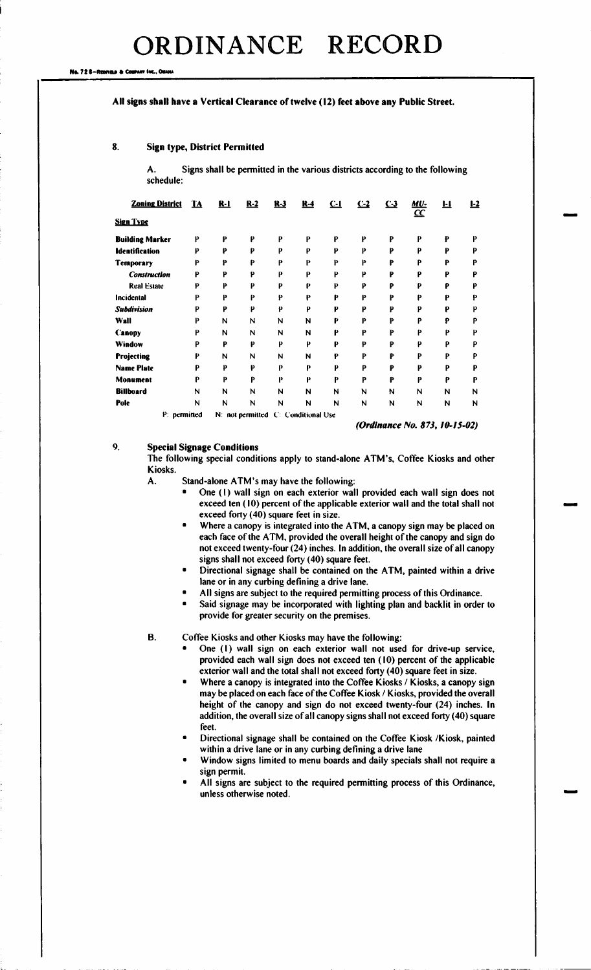#### No. 72 6-Rennau & Com

i

#### All signs shall have a Vertical Clearance of twelve (12) feet above any Public Street.

# 8. Sign type, District Permitted

A. Signs shall be permitted in the various districts according to the following schedule:

| <b>Zoning District</b>   | <u>14</u> | <u>R-1</u> | $R-2$ | $R-3$ | $R-4$                               | $C-1$ | $C-2$ | $C-3$ | MU-<br>$\overline{\underline{\mathfrak{C}}\mathfrak{C}}$ |   | $1-2$ |
|--------------------------|-----------|------------|-------|-------|-------------------------------------|-------|-------|-------|----------------------------------------------------------|---|-------|
| <b>Sign Type</b>         |           |            |       |       |                                     |       |       |       |                                                          |   |       |
| <b>Building Marker</b>   | P         | P          | P     | P     | P                                   | P     | P     | P     | P                                                        | p | p     |
| <b>Identification</b>    | P         | P          | P     | P     | P                                   | P     | P     | P     | P                                                        | P | Ρ     |
| Temporary                | P         | p          | P     | P     | P                                   | P     | P     | P     | P                                                        | P | P     |
| P<br><b>Construction</b> |           | P          | P     | p     | P                                   | P     | Р     | P     | P                                                        | P |       |
| <b>Real Estate</b><br>p  |           | P          | P     | p     | P                                   | p     | p     | P     | p                                                        | Р | p     |
| p<br>Incidental          |           | P          | Р     | p     | p                                   | P     | P     | p     | P                                                        | p | D     |
| <b>Subdivision</b>       | D         | p          | P     | p     | P                                   | P     | P     | p     | P                                                        | p |       |
| Wall                     | p         | N          | N     | N     | N                                   | P     | P     | p     | P                                                        | P | D     |
| <b>Canopy</b>            | p         | N          | N     | N     | N                                   | P     | P     | p     | P                                                        | P | D     |
| Window                   | P         | P          | P     | P     | P                                   | P     | p     | P     | P                                                        | P | D     |
| <b>Projecting</b>        | p         | N          | N     | N     | N                                   | ₽     | P     | P     | P                                                        | P | p     |
| <b>Name Plate</b>        | P         | P          | P     | p     | P                                   | P     | P     | P     | P                                                        | P | D     |
| Monument                 | P         | P          | P     | P     | P                                   | P     | P     | p     | P                                                        | P | Р     |
| <b>Billboard</b>         | N         | N          | N     | N     | N                                   | N     | N     | N     | N                                                        | N | N     |
| Pole                     | N         | N          | N     | N     | N                                   | N     | N     | N     | N                                                        | N | N     |
| P: permitted             |           |            |       |       | N: not permitted C: Conditional Use |       |       |       |                                                          |   |       |

Ordinance No. 873, 10-/ 5-02)

# 9. Special Signage Conditions

The following special conditions apply to stand-alone ATM's, Coffee Kiosks and other Kiosks.

A. Stand-alone ATM's may have the following:

- One (1) wall sign on each exterior wall provided each wall sign does not exceed ten (10) percent of the applicable exterior wall and the total shall not exceed forty (40) square feet in size.
- Where a canopy is integrated into the ATM, a canopy sign may be placed on each face of the ATM, provided the overall height of the canopy and sign do not exceed twenty-four (24) inches. In addition, the overall size of all canopy signs shall not exceed forty (40) square feet.
- Directional signage shall be contained on the ATM, painted within a drive lane or in any curbing defining a drive lane.
- All signs are subject to the required permitting process of this Ordinance.
- Said signage may be incorporated with lighting plan and backlit in order to provide for greater security on the premises.

B. Coffee Kiosks and other Kiosks may have the following:

- One (1) wall sign on each exterior wall not used for drive-up service, provided each wall sign does not exceed ten ( 10) percent of the applicable exterior wall and the total shall not exceed forty (40) square feet in size.
- Where a canopy is integrated into the Coffee Kiosks / Kiosks, a canopy sign may be placed on each face of the Coffee Kiosk/ Kiosks, provided the overall height of the canopy and sign do not exceed twenty-four (24) inches. In addition, the overall size of all canopy signs shall not exceed forty( 40) square feet.
- Directional signage shall be contained on the Coffee Kiosk/ Kiosk, painted within a drive lane or in any curbing defining a drive lane
- Window signs limited to menu boards and daily specials shall not require a sign permit.
- All signs are subject to the required permitting process of this Ordinance, unless otherwise noted.